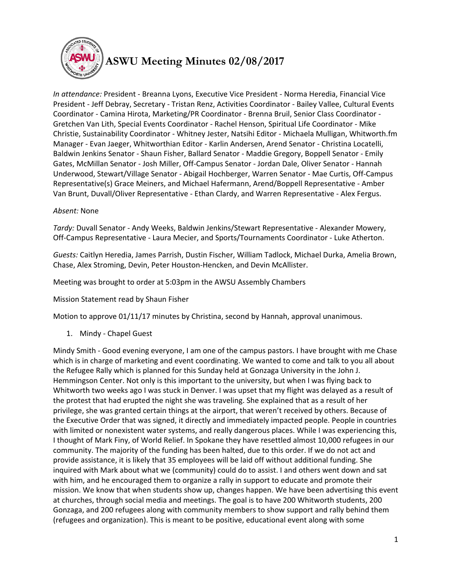

## **ASWU Meeting Minutes 02/08/2017**

*In attendance:* President - Breanna Lyons, Executive Vice President - Norma Heredia, Financial Vice President - Jeff Debray, Secretary - Tristan Renz, Activities Coordinator - Bailey Vallee, Cultural Events Coordinator - Camina Hirota, Marketing/PR Coordinator - Brenna Bruil, Senior Class Coordinator - Gretchen Van Lith, Special Events Coordinator - Rachel Henson, Spiritual Life Coordinator - Mike Christie, Sustainability Coordinator - Whitney Jester, Natsihi Editor - Michaela Mulligan, Whitworth.fm Manager - Evan Jaeger, Whitworthian Editor - Karlin Andersen, Arend Senator - Christina Locatelli, Baldwin Jenkins Senator - Shaun Fisher, Ballard Senator - Maddie Gregory, Boppell Senator - Emily Gates, McMillan Senator - Josh Miller, Off-Campus Senator - Jordan Dale, Oliver Senator - Hannah Underwood, Stewart/Village Senator - Abigail Hochberger, Warren Senator - Mae Curtis, Off-Campus Representative(s) Grace Meiners, and Michael Hafermann, Arend/Boppell Representative - Amber Van Brunt, Duvall/Oliver Representative - Ethan Clardy, and Warren Representative - Alex Fergus.

## *Absent:* None

*Tardy:* Duvall Senator - Andy Weeks, Baldwin Jenkins/Stewart Representative - Alexander Mowery, Off-Campus Representative - Laura Mecier, and Sports/Tournaments Coordinator - Luke Atherton.

*Guests:* Caitlyn Heredia, James Parrish, Dustin Fischer, William Tadlock, Michael Durka, Amelia Brown, Chase, Alex Stroming, Devin, Peter Houston-Hencken, and Devin McAllister.

Meeting was brought to order at 5:03pm in the AWSU Assembly Chambers

Mission Statement read by Shaun Fisher

Motion to approve 01/11/17 minutes by Christina, second by Hannah, approval unanimous.

1. Mindy - Chapel Guest

Mindy Smith - Good evening everyone, I am one of the campus pastors. I have brought with me Chase which is in charge of marketing and event coordinating. We wanted to come and talk to you all about the Refugee Rally which is planned for this Sunday held at Gonzaga University in the John J. Hemmingson Center. Not only is this important to the university, but when I was flying back to Whitworth two weeks ago I was stuck in Denver. I was upset that my flight was delayed as a result of the protest that had erupted the night she was traveling. She explained that as a result of her privilege, she was granted certain things at the airport, that weren't received by others. Because of the Executive Order that was signed, it directly and immediately impacted people. People in countries with limited or nonexistent water systems, and really dangerous places. While I was experiencing this, I thought of Mark Finy, of World Relief. In Spokane they have resettled almost 10,000 refugees in our community. The majority of the funding has been halted, due to this order. If we do not act and provide assistance, it is likely that 35 employees will be laid off without additional funding. She inquired with Mark about what we (community) could do to assist. I and others went down and sat with him, and he encouraged them to organize a rally in support to educate and promote their mission. We know that when students show up, changes happen. We have been advertising this event at churches, through social media and meetings. The goal is to have 200 Whitworth students, 200 Gonzaga, and 200 refugees along with community members to show support and rally behind them (refugees and organization). This is meant to be positive, educational event along with some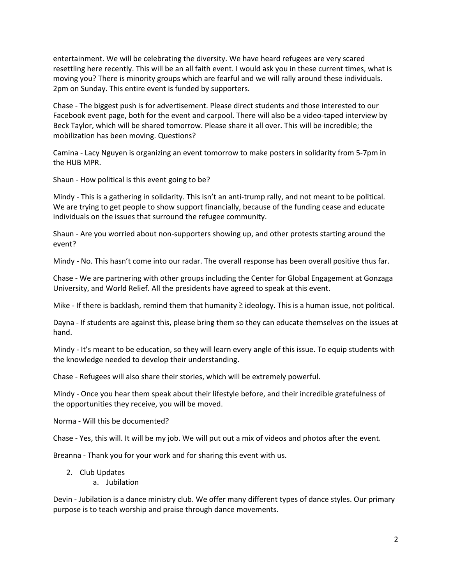entertainment. We will be celebrating the diversity. We have heard refugees are very scared resettling here recently. This will be an all faith event. I would ask you in these current times, what is moving you? There is minority groups which are fearful and we will rally around these individuals. 2pm on Sunday. This entire event is funded by supporters.

Chase - The biggest push is for advertisement. Please direct students and those interested to our Facebook event page, both for the event and carpool. There will also be a video-taped interview by Beck Taylor, which will be shared tomorrow. Please share it all over. This will be incredible; the mobilization has been moving. Questions?

Camina - Lacy Nguyen is organizing an event tomorrow to make posters in solidarity from 5-7pm in the HUB MPR.

Shaun - How political is this event going to be?

Mindy - This is a gathering in solidarity. This isn't an anti-trump rally, and not meant to be political. We are trying to get people to show support financially, because of the funding cease and educate individuals on the issues that surround the refugee community.

Shaun - Are you worried about non-supporters showing up, and other protests starting around the event?

Mindy - No. This hasn't come into our radar. The overall response has been overall positive thus far.

Chase - We are partnering with other groups including the Center for Global Engagement at Gonzaga University, and World Relief. All the presidents have agreed to speak at this event.

Mike - If there is backlash, remind them that humanity  $\geq$  ideology. This is a human issue, not political.

Dayna - If students are against this, please bring them so they can educate themselves on the issues at hand.

Mindy - It's meant to be education, so they will learn every angle of this issue. To equip students with the knowledge needed to develop their understanding.

Chase - Refugees will also share their stories, which will be extremely powerful.

Mindy - Once you hear them speak about their lifestyle before, and their incredible gratefulness of the opportunities they receive, you will be moved.

Norma - Will this be documented?

Chase - Yes, this will. It will be my job. We will put out a mix of videos and photos after the event.

Breanna - Thank you for your work and for sharing this event with us.

- 2. Club Updates
	- a. Jubilation

Devin - Jubilation is a dance ministry club. We offer many different types of dance styles. Our primary purpose is to teach worship and praise through dance movements.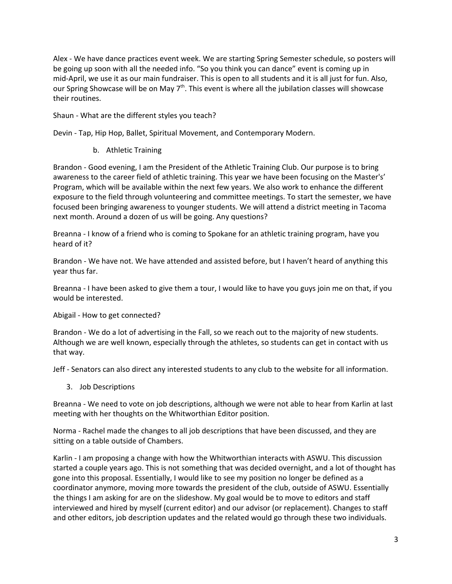Alex - We have dance practices event week. We are starting Spring Semester schedule, so posters will be going up soon with all the needed info. "So you think you can dance" event is coming up in mid-April, we use it as our main fundraiser. This is open to all students and it is all just for fun. Also, our Spring Showcase will be on May  $7<sup>th</sup>$ . This event is where all the jubilation classes will showcase their routines.

Shaun - What are the different styles you teach?

Devin - Tap, Hip Hop, Ballet, Spiritual Movement, and Contemporary Modern.

b. Athletic Training

Brandon - Good evening, I am the President of the Athletic Training Club. Our purpose is to bring awareness to the career field of athletic training. This year we have been focusing on the Master's' Program, which will be available within the next few years. We also work to enhance the different exposure to the field through volunteering and committee meetings. To start the semester, we have focused been bringing awareness to younger students. We will attend a district meeting in Tacoma next month. Around a dozen of us will be going. Any questions?

Breanna - I know of a friend who is coming to Spokane for an athletic training program, have you heard of it?

Brandon - We have not. We have attended and assisted before, but I haven't heard of anything this year thus far.

Breanna - I have been asked to give them a tour, I would like to have you guys join me on that, if you would be interested.

Abigail - How to get connected?

Brandon - We do a lot of advertising in the Fall, so we reach out to the majority of new students. Although we are well known, especially through the athletes, so students can get in contact with us that way.

Jeff - Senators can also direct any interested students to any club to the website for all information.

3. Job Descriptions

Breanna - We need to vote on job descriptions, although we were not able to hear from Karlin at last meeting with her thoughts on the Whitworthian Editor position.

Norma - Rachel made the changes to all job descriptions that have been discussed, and they are sitting on a table outside of Chambers.

Karlin - I am proposing a change with how the Whitworthian interacts with ASWU. This discussion started a couple years ago. This is not something that was decided overnight, and a lot of thought has gone into this proposal. Essentially, I would like to see my position no longer be defined as a coordinator anymore, moving more towards the president of the club, outside of ASWU. Essentially the things I am asking for are on the slideshow. My goal would be to move to editors and staff interviewed and hired by myself (current editor) and our advisor (or replacement). Changes to staff and other editors, job description updates and the related would go through these two individuals.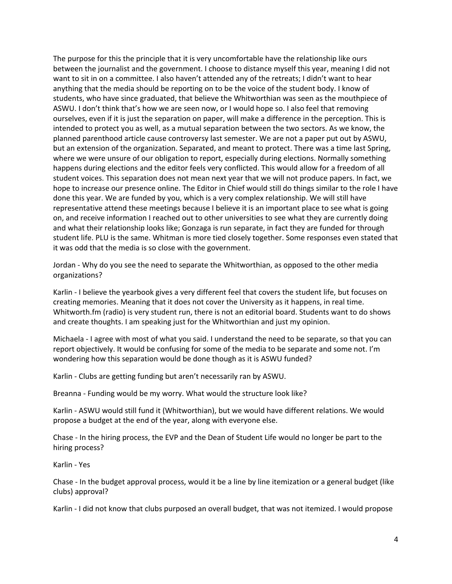The purpose for this the principle that it is very uncomfortable have the relationship like ours between the journalist and the government. I choose to distance myself this year, meaning I did not want to sit in on a committee. I also haven't attended any of the retreats; I didn't want to hear anything that the media should be reporting on to be the voice of the student body. I know of students, who have since graduated, that believe the Whitworthian was seen as the mouthpiece of ASWU. I don't think that's how we are seen now, or I would hope so. I also feel that removing ourselves, even if it is just the separation on paper, will make a difference in the perception. This is intended to protect you as well, as a mutual separation between the two sectors. As we know, the planned parenthood article cause controversy last semester. We are not a paper put out by ASWU, but an extension of the organization. Separated, and meant to protect. There was a time last Spring, where we were unsure of our obligation to report, especially during elections. Normally something happens during elections and the editor feels very conflicted. This would allow for a freedom of all student voices. This separation does not mean next year that we will not produce papers. In fact, we hope to increase our presence online. The Editor in Chief would still do things similar to the role I have done this year. We are funded by you, which is a very complex relationship. We will still have representative attend these meetings because I believe it is an important place to see what is going on, and receive information I reached out to other universities to see what they are currently doing and what their relationship looks like; Gonzaga is run separate, in fact they are funded for through student life. PLU is the same. Whitman is more tied closely together. Some responses even stated that it was odd that the media is so close with the government.

Jordan - Why do you see the need to separate the Whitworthian, as opposed to the other media organizations?

Karlin - I believe the yearbook gives a very different feel that covers the student life, but focuses on creating memories. Meaning that it does not cover the University as it happens, in real time. Whitworth.fm (radio) is very student run, there is not an editorial board. Students want to do shows and create thoughts. I am speaking just for the Whitworthian and just my opinion.

Michaela - I agree with most of what you said. I understand the need to be separate, so that you can report objectively. It would be confusing for some of the media to be separate and some not. I'm wondering how this separation would be done though as it is ASWU funded?

Karlin - Clubs are getting funding but aren't necessarily ran by ASWU.

Breanna - Funding would be my worry. What would the structure look like?

Karlin - ASWU would still fund it (Whitworthian), but we would have different relations. We would propose a budget at the end of the year, along with everyone else.

Chase - In the hiring process, the EVP and the Dean of Student Life would no longer be part to the hiring process?

Karlin - Yes

Chase - In the budget approval process, would it be a line by line itemization or a general budget (like clubs) approval?

Karlin - I did not know that clubs purposed an overall budget, that was not itemized. I would propose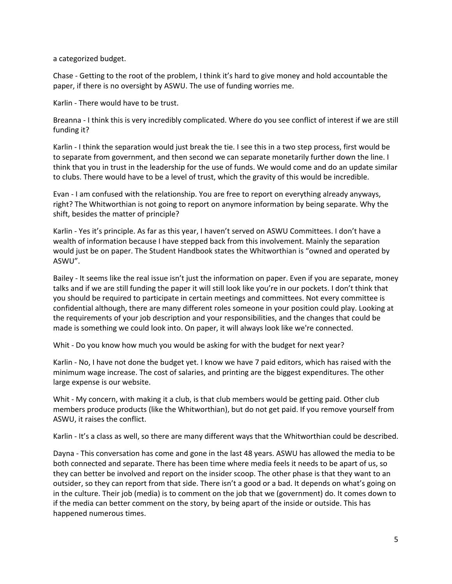a categorized budget.

Chase - Getting to the root of the problem, I think it's hard to give money and hold accountable the paper, if there is no oversight by ASWU. The use of funding worries me.

Karlin - There would have to be trust.

Breanna - I think this is very incredibly complicated. Where do you see conflict of interest if we are still funding it?

Karlin - I think the separation would just break the tie. I see this in a two step process, first would be to separate from government, and then second we can separate monetarily further down the line. I think that you in trust in the leadership for the use of funds. We would come and do an update similar to clubs. There would have to be a level of trust, which the gravity of this would be incredible.

Evan - I am confused with the relationship. You are free to report on everything already anyways, right? The Whitworthian is not going to report on anymore information by being separate. Why the shift, besides the matter of principle?

Karlin - Yes it's principle. As far as this year, I haven't served on ASWU Committees. I don't have a wealth of information because I have stepped back from this involvement. Mainly the separation would just be on paper. The Student Handbook states the Whitworthian is "owned and operated by ASWU".

Bailey - It seems like the real issue isn't just the information on paper. Even if you are separate, money talks and if we are still funding the paper it will still look like you're in our pockets. I don't think that you should be required to participate in certain meetings and committees. Not every committee is confidential although, there are many different roles someone in your position could play. Looking at the requirements of your job description and your responsibilities, and the changes that could be made is something we could look into. On paper, it will always look like we're connected.

Whit - Do you know how much you would be asking for with the budget for next year?

Karlin - No, I have not done the budget yet. I know we have 7 paid editors, which has raised with the minimum wage increase. The cost of salaries, and printing are the biggest expenditures. The other large expense is our website.

Whit - My concern, with making it a club, is that club members would be getting paid. Other club members produce products (like the Whitworthian), but do not get paid. If you remove yourself from ASWU, it raises the conflict.

Karlin - It's a class as well, so there are many different ways that the Whitworthian could be described.

Dayna - This conversation has come and gone in the last 48 years. ASWU has allowed the media to be both connected and separate. There has been time where media feels it needs to be apart of us, so they can better be involved and report on the insider scoop. The other phase is that they want to an outsider, so they can report from that side. There isn't a good or a bad. It depends on what's going on in the culture. Their job (media) is to comment on the job that we (government) do. It comes down to if the media can better comment on the story, by being apart of the inside or outside. This has happened numerous times.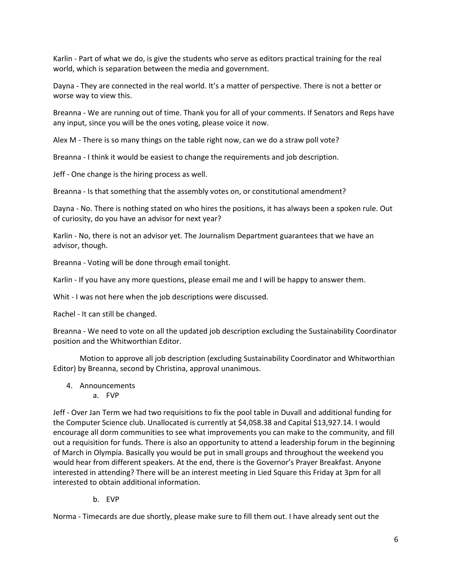Karlin - Part of what we do, is give the students who serve as editors practical training for the real world, which is separation between the media and government.

Dayna - They are connected in the real world. It's a matter of perspective. There is not a better or worse way to view this.

Breanna - We are running out of time. Thank you for all of your comments. If Senators and Reps have any input, since you will be the ones voting, please voice it now.

Alex M - There is so many things on the table right now, can we do a straw poll vote?

Breanna - I think it would be easiest to change the requirements and job description.

Jeff - One change is the hiring process as well.

Breanna - Is that something that the assembly votes on, or constitutional amendment?

Dayna - No. There is nothing stated on who hires the positions, it has always been a spoken rule. Out of curiosity, do you have an advisor for next year?

Karlin - No, there is not an advisor yet. The Journalism Department guarantees that we have an advisor, though.

Breanna - Voting will be done through email tonight.

Karlin - If you have any more questions, please email me and I will be happy to answer them.

Whit - I was not here when the job descriptions were discussed.

Rachel - It can still be changed.

Breanna - We need to vote on all the updated job description excluding the Sustainability Coordinator position and the Whitworthian Editor.

Motion to approve all job description (excluding Sustainability Coordinator and Whitworthian Editor) by Breanna, second by Christina, approval unanimous.

- 4. Announcements
	- a. FVP

Jeff - Over Jan Term we had two requisitions to fix the pool table in Duvall and additional funding for the Computer Science club. Unallocated is currently at \$4,058.38 and Capital \$13,927.14. I would encourage all dorm communities to see what improvements you can make to the community, and fill out a requisition for funds. There is also an opportunity to attend a leadership forum in the beginning of March in Olympia. Basically you would be put in small groups and throughout the weekend you would hear from different speakers. At the end, there is the Governor's Prayer Breakfast. Anyone interested in attending? There will be an interest meeting in Lied Square this Friday at 3pm for all interested to obtain additional information.

b. EVP

Norma - Timecards are due shortly, please make sure to fill them out. I have already sent out the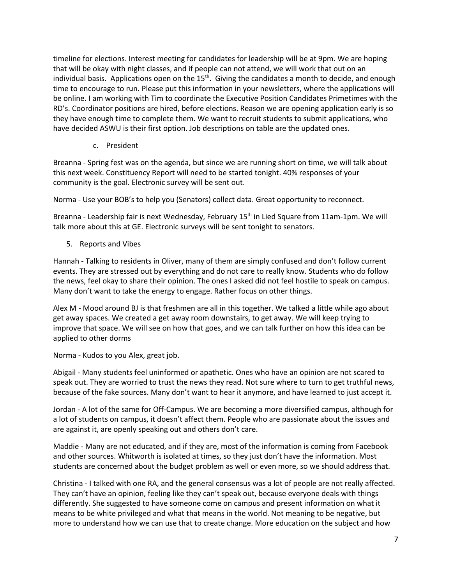timeline for elections. Interest meeting for candidates for leadership will be at 9pm. We are hoping that will be okay with night classes, and if people can not attend, we will work that out on an individual basis. Applications open on the 15<sup>th</sup>. Giving the candidates a month to decide, and enough time to encourage to run. Please put this information in your newsletters, where the applications will be online. I am working with Tim to coordinate the Executive Position Candidates Primetimes with the RD's. Coordinator positions are hired, before elections. Reason we are opening application early is so they have enough time to complete them. We want to recruit students to submit applications, who have decided ASWU is their first option. Job descriptions on table are the updated ones.

c. President

Breanna - Spring fest was on the agenda, but since we are running short on time, we will talk about this next week. Constituency Report will need to be started tonight. 40% responses of your community is the goal. Electronic survey will be sent out.

Norma - Use your BOB's to help you (Senators) collect data. Great opportunity to reconnect.

Breanna - Leadership fair is next Wednesday, February 15<sup>th</sup> in Lied Square from 11am-1pm. We will talk more about this at GE. Electronic surveys will be sent tonight to senators.

5. Reports and Vibes

Hannah - Talking to residents in Oliver, many of them are simply confused and don't follow current events. They are stressed out by everything and do not care to really know. Students who do follow the news, feel okay to share their opinion. The ones I asked did not feel hostile to speak on campus. Many don't want to take the energy to engage. Rather focus on other things.

Alex M - Mood around BJ is that freshmen are all in this together. We talked a little while ago about get away spaces. We created a get away room downstairs, to get away. We will keep trying to improve that space. We will see on how that goes, and we can talk further on how this idea can be applied to other dorms

Norma - Kudos to you Alex, great job.

Abigail - Many students feel uninformed or apathetic. Ones who have an opinion are not scared to speak out. They are worried to trust the news they read. Not sure where to turn to get truthful news, because of the fake sources. Many don't want to hear it anymore, and have learned to just accept it.

Jordan - A lot of the same for Off-Campus. We are becoming a more diversified campus, although for a lot of students on campus, it doesn't affect them. People who are passionate about the issues and are against it, are openly speaking out and others don't care.

Maddie - Many are not educated, and if they are, most of the information is coming from Facebook and other sources. Whitworth is isolated at times, so they just don't have the information. Most students are concerned about the budget problem as well or even more, so we should address that.

Christina - I talked with one RA, and the general consensus was a lot of people are not really affected. They can't have an opinion, feeling like they can't speak out, because everyone deals with things differently. She suggested to have someone come on campus and present information on what it means to be white privileged and what that means in the world. Not meaning to be negative, but more to understand how we can use that to create change. More education on the subject and how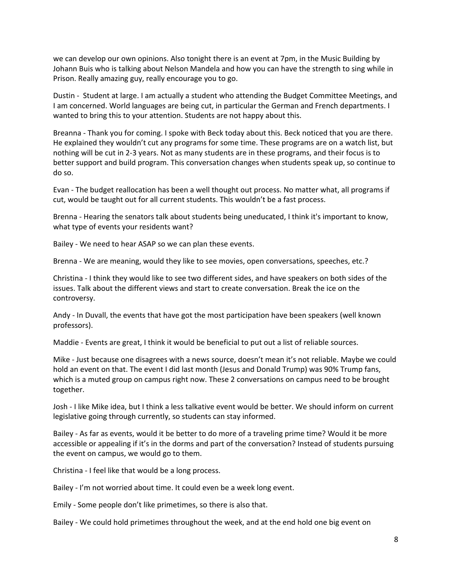we can develop our own opinions. Also tonight there is an event at 7pm, in the Music Building by Johann Buis who is talking about Nelson Mandela and how you can have the strength to sing while in Prison. Really amazing guy, really encourage you to go.

Dustin - Student at large. I am actually a student who attending the Budget Committee Meetings, and I am concerned. World languages are being cut, in particular the German and French departments. I wanted to bring this to your attention. Students are not happy about this.

Breanna - Thank you for coming. I spoke with Beck today about this. Beck noticed that you are there. He explained they wouldn't cut any programs for some time. These programs are on a watch list, but nothing will be cut in 2-3 years. Not as many students are in these programs, and their focus is to better support and build program. This conversation changes when students speak up, so continue to do so.

Evan - The budget reallocation has been a well thought out process. No matter what, all programs if cut, would be taught out for all current students. This wouldn't be a fast process.

Brenna - Hearing the senators talk about students being uneducated, I think it's important to know, what type of events your residents want?

Bailey - We need to hear ASAP so we can plan these events.

Brenna - We are meaning, would they like to see movies, open conversations, speeches, etc.?

Christina - I think they would like to see two different sides, and have speakers on both sides of the issues. Talk about the different views and start to create conversation. Break the ice on the controversy.

Andy - In Duvall, the events that have got the most participation have been speakers (well known professors).

Maddie - Events are great, I think it would be beneficial to put out a list of reliable sources.

Mike - Just because one disagrees with a news source, doesn't mean it's not reliable. Maybe we could hold an event on that. The event I did last month (Jesus and Donald Trump) was 90% Trump fans, which is a muted group on campus right now. These 2 conversations on campus need to be brought together.

Josh - I like Mike idea, but I think a less talkative event would be better. We should inform on current legislative going through currently, so students can stay informed.

Bailey - As far as events, would it be better to do more of a traveling prime time? Would it be more accessible or appealing if it's in the dorms and part of the conversation? Instead of students pursuing the event on campus, we would go to them.

Christina - I feel like that would be a long process.

Bailey - I'm not worried about time. It could even be a week long event.

Emily - Some people don't like primetimes, so there is also that.

Bailey - We could hold primetimes throughout the week, and at the end hold one big event on